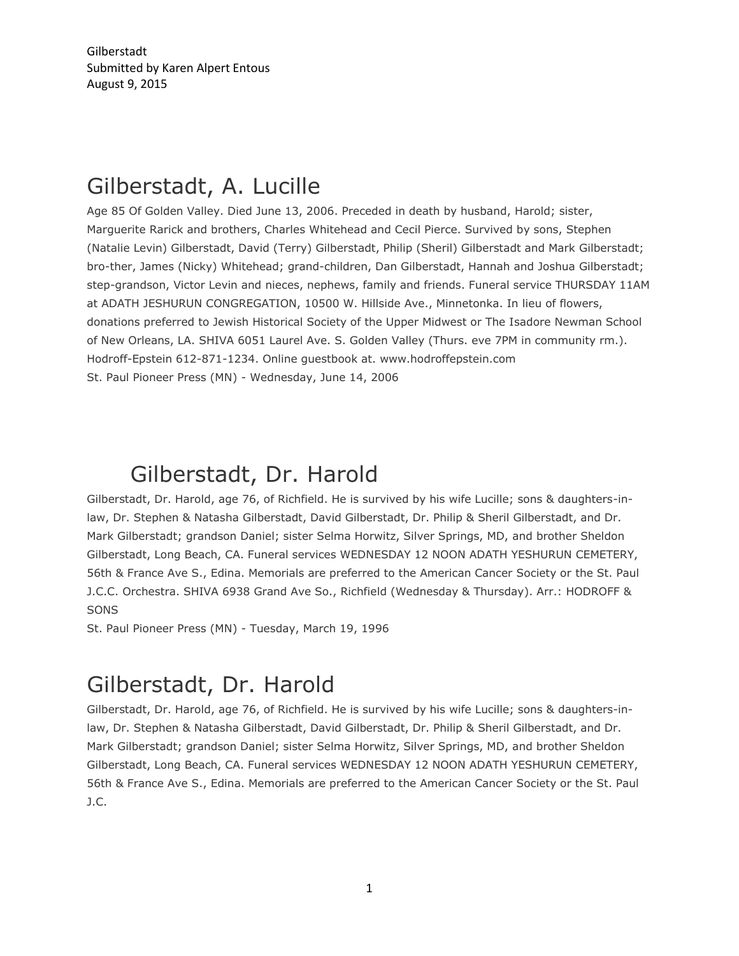Gilberstadt Submitted by Karen Alpert Entous August 9, 2015

## Gilberstadt, A. Lucille

Age 85 Of Golden Valley. Died June 13, 2006. Preceded in death by husband, Harold; sister, Marguerite Rarick and brothers, Charles Whitehead and Cecil Pierce. Survived by sons, Stephen (Natalie Levin) Gilberstadt, David (Terry) Gilberstadt, Philip (Sheril) Gilberstadt and Mark Gilberstadt; bro-ther, James (Nicky) Whitehead; grand-children, Dan Gilberstadt, Hannah and Joshua Gilberstadt; step-grandson, Victor Levin and nieces, nephews, family and friends. Funeral service THURSDAY 11AM at ADATH JESHURUN CONGREGATION, 10500 W. Hillside Ave., Minnetonka. In lieu of flowers, donations preferred to Jewish Historical Society of the Upper Midwest or The Isadore Newman School of New Orleans, LA. SHIVA 6051 Laurel Ave. S. Golden Valley (Thurs. eve 7PM in community rm.). Hodroff-Epstein 612-871-1234. Online guestbook at. www.hodroffepstein.com St. Paul Pioneer Press (MN) - Wednesday, June 14, 2006

## Gilberstadt, Dr. Harold

Gilberstadt, Dr. Harold, age 76, of Richfield. He is survived by his wife Lucille; sons & daughters-inlaw, Dr. Stephen & Natasha Gilberstadt, David Gilberstadt, Dr. Philip & Sheril Gilberstadt, and Dr. Mark Gilberstadt; grandson Daniel; sister Selma Horwitz, Silver Springs, MD, and brother Sheldon Gilberstadt, Long Beach, CA. Funeral services WEDNESDAY 12 NOON ADATH YESHURUN CEMETERY, 56th & France Ave S., Edina. Memorials are preferred to the American Cancer Society or the St. Paul J.C.C. Orchestra. SHIVA 6938 Grand Ave So., Richfield (Wednesday & Thursday). Arr.: HODROFF & SONS

St. Paul Pioneer Press (MN) - Tuesday, March 19, 1996

## Gilberstadt, Dr. Harold

Gilberstadt, Dr. Harold, age 76, of Richfield. He is survived by his wife Lucille; sons & daughters-inlaw, Dr. Stephen & Natasha Gilberstadt, David Gilberstadt, Dr. Philip & Sheril Gilberstadt, and Dr. Mark Gilberstadt; grandson Daniel; sister Selma Horwitz, Silver Springs, MD, and brother Sheldon Gilberstadt, Long Beach, CA. Funeral services WEDNESDAY 12 NOON ADATH YESHURUN CEMETERY, 56th & France Ave S., Edina. Memorials are preferred to the American Cancer Society or the St. Paul J.C.